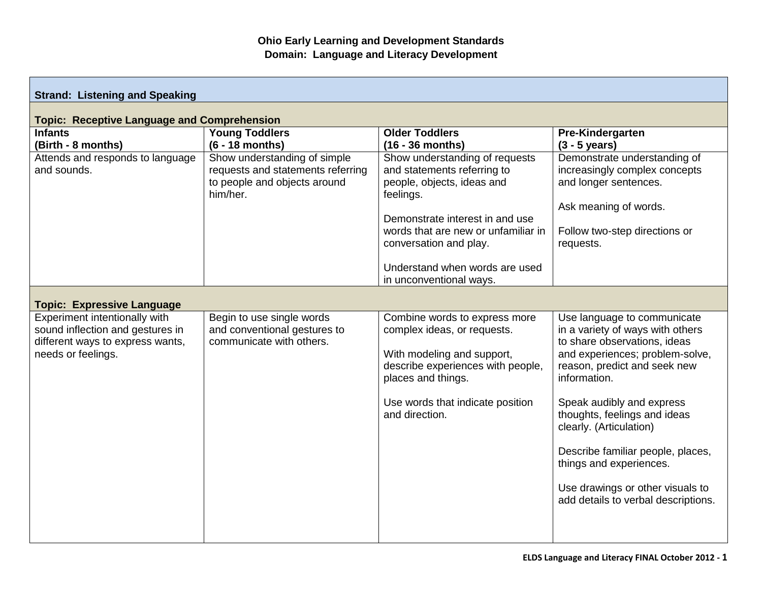| <b>Strand: Listening and Speaking</b>                                                                                       |                                                                                                               |                                                                                                                                                                                                                                                                           |                                                                                                                                                                                                                                                                                                                                                                                                                       |  |
|-----------------------------------------------------------------------------------------------------------------------------|---------------------------------------------------------------------------------------------------------------|---------------------------------------------------------------------------------------------------------------------------------------------------------------------------------------------------------------------------------------------------------------------------|-----------------------------------------------------------------------------------------------------------------------------------------------------------------------------------------------------------------------------------------------------------------------------------------------------------------------------------------------------------------------------------------------------------------------|--|
| <b>Topic: Receptive Language and Comprehension</b>                                                                          |                                                                                                               |                                                                                                                                                                                                                                                                           |                                                                                                                                                                                                                                                                                                                                                                                                                       |  |
| <b>Infants</b><br>(Birth - 8 months)                                                                                        | <b>Young Toddlers</b><br>$(6 - 18$ months)                                                                    | <b>Older Toddlers</b><br>$(16 - 36$ months)                                                                                                                                                                                                                               | Pre-Kindergarten<br>$(3 - 5 \text{ years})$                                                                                                                                                                                                                                                                                                                                                                           |  |
| Attends and responds to language<br>and sounds.                                                                             | Show understanding of simple<br>requests and statements referring<br>to people and objects around<br>him/her. | Show understanding of requests<br>and statements referring to<br>people, objects, ideas and<br>feelings.<br>Demonstrate interest in and use<br>words that are new or unfamiliar in<br>conversation and play.<br>Understand when words are used<br>in unconventional ways. | Demonstrate understanding of<br>increasingly complex concepts<br>and longer sentences.<br>Ask meaning of words.<br>Follow two-step directions or<br>requests.                                                                                                                                                                                                                                                         |  |
| <b>Topic: Expressive Language</b>                                                                                           |                                                                                                               |                                                                                                                                                                                                                                                                           |                                                                                                                                                                                                                                                                                                                                                                                                                       |  |
| Experiment intentionally with<br>sound inflection and gestures in<br>different ways to express wants,<br>needs or feelings. | Begin to use single words<br>and conventional gestures to<br>communicate with others.                         | Combine words to express more<br>complex ideas, or requests.<br>With modeling and support,<br>describe experiences with people,<br>places and things.<br>Use words that indicate position<br>and direction.                                                               | Use language to communicate<br>in a variety of ways with others<br>to share observations, ideas<br>and experiences; problem-solve,<br>reason, predict and seek new<br>information.<br>Speak audibly and express<br>thoughts, feelings and ideas<br>clearly. (Articulation)<br>Describe familiar people, places,<br>things and experiences.<br>Use drawings or other visuals to<br>add details to verbal descriptions. |  |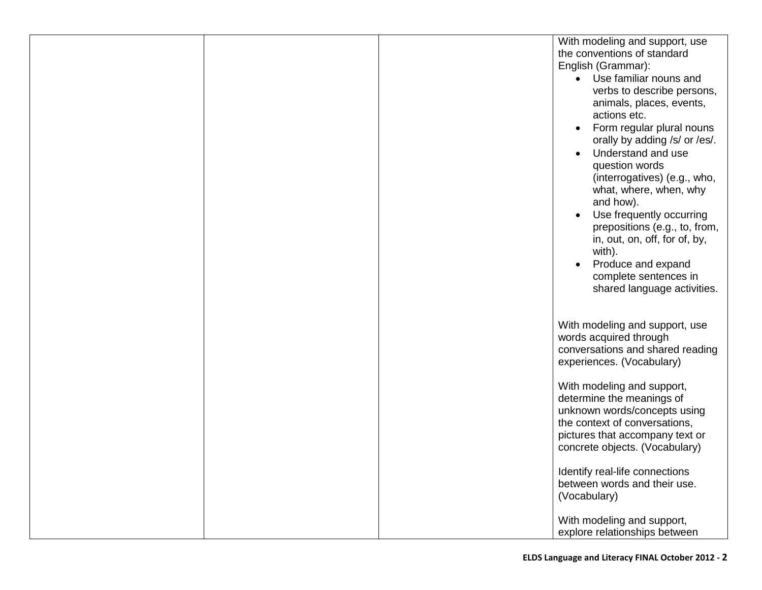| With modeling and support, use        |
|---------------------------------------|
| the conventions of standard           |
| English (Grammar):                    |
| Use familiar nouns and                |
| verbs to describe persons,            |
| animals, places, events,              |
| actions etc.                          |
|                                       |
| Form regular plural nouns             |
| orally by adding /s/ or /es/.         |
| Understand and use<br>$\bullet$       |
| question words                        |
| (interrogatives) (e.g., who,          |
| what, where, when, why                |
| and how).                             |
|                                       |
| Use frequently occurring<br>$\bullet$ |
| prepositions (e.g., to, from,         |
| in, out, on, off, for of, by,         |
| with).                                |
| Produce and expand                    |
| complete sentences in                 |
| shared language activities.           |
|                                       |
|                                       |
|                                       |
| With modeling and support, use        |
| words acquired through                |
| conversations and shared reading      |
| experiences. (Vocabulary)             |
|                                       |
| With modeling and support,            |
| determine the meanings of             |
| unknown words/concepts using          |
| the context of conversations,         |
| pictures that accompany text or       |
| concrete objects. (Vocabulary)        |
|                                       |
| Identify real-life connections        |
|                                       |
| between words and their use.          |
| (Vocabulary)                          |
|                                       |
| With modeling and support,            |
| explore relationships between         |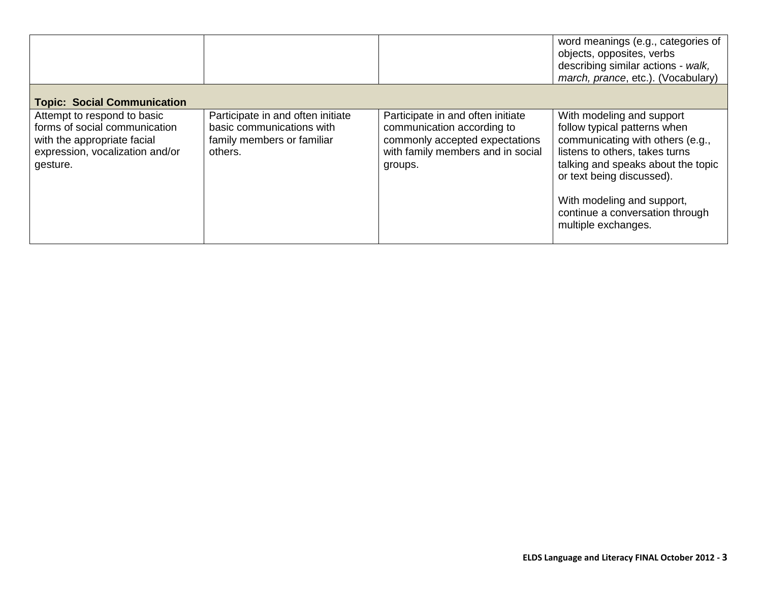|                                                                                                                                            |                                                                                                         |                                                                                                                                                   | word meanings (e.g., categories of<br>objects, opposites, verbs<br>describing similar actions - walk,<br>march, prance, etc.). (Vocabulary)                                                                                                                                                |
|--------------------------------------------------------------------------------------------------------------------------------------------|---------------------------------------------------------------------------------------------------------|---------------------------------------------------------------------------------------------------------------------------------------------------|--------------------------------------------------------------------------------------------------------------------------------------------------------------------------------------------------------------------------------------------------------------------------------------------|
| <b>Topic: Social Communication</b>                                                                                                         |                                                                                                         |                                                                                                                                                   |                                                                                                                                                                                                                                                                                            |
| Attempt to respond to basic<br>forms of social communication<br>with the appropriate facial<br>expression, vocalization and/or<br>gesture. | Participate in and often initiate<br>basic communications with<br>family members or familiar<br>others. | Participate in and often initiate<br>communication according to<br>commonly accepted expectations<br>with family members and in social<br>groups. | With modeling and support<br>follow typical patterns when<br>communicating with others (e.g.,<br>listens to others, takes turns<br>talking and speaks about the topic<br>or text being discussed).<br>With modeling and support,<br>continue a conversation through<br>multiple exchanges. |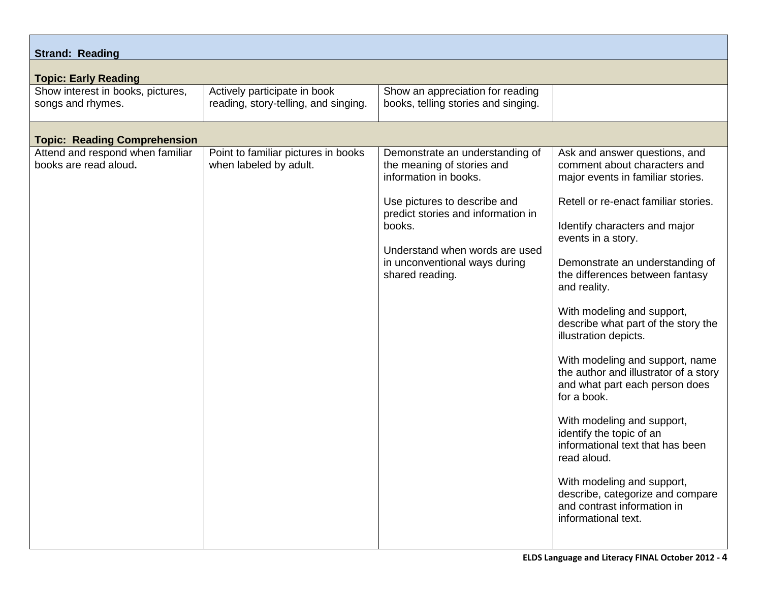| <b>Strand: Reading</b><br><b>Topic: Early Reading</b>                |                                                                                                                                                                                                                                                              |                                                                                                                                                                                                                                                                                                                                                                                                                                                                                                                                                                              |  |  |  |
|----------------------------------------------------------------------|--------------------------------------------------------------------------------------------------------------------------------------------------------------------------------------------------------------------------------------------------------------|------------------------------------------------------------------------------------------------------------------------------------------------------------------------------------------------------------------------------------------------------------------------------------------------------------------------------------------------------------------------------------------------------------------------------------------------------------------------------------------------------------------------------------------------------------------------------|--|--|--|
| Actively participate in book<br>reading, story-telling, and singing. | Show an appreciation for reading<br>books, telling stories and singing.                                                                                                                                                                                      |                                                                                                                                                                                                                                                                                                                                                                                                                                                                                                                                                                              |  |  |  |
|                                                                      |                                                                                                                                                                                                                                                              |                                                                                                                                                                                                                                                                                                                                                                                                                                                                                                                                                                              |  |  |  |
| Point to familiar pictures in books<br>when labeled by adult.        | Demonstrate an understanding of<br>the meaning of stories and<br>information in books.<br>Use pictures to describe and<br>predict stories and information in<br>books.<br>Understand when words are used<br>in unconventional ways during<br>shared reading. | Ask and answer questions, and<br>comment about characters and<br>major events in familiar stories.<br>Retell or re-enact familiar stories.<br>Identify characters and major<br>events in a story.<br>Demonstrate an understanding of<br>the differences between fantasy<br>and reality.<br>With modeling and support,<br>describe what part of the story the<br>illustration depicts.<br>With modeling and support, name<br>the author and illustrator of a story<br>and what part each person does<br>for a book.<br>With modeling and support,<br>identify the topic of an |  |  |  |
|                                                                      |                                                                                                                                                                                                                                                              | informational text that has been<br>read aloud.                                                                                                                                                                                                                                                                                                                                                                                                                                                                                                                              |  |  |  |
|                                                                      |                                                                                                                                                                                                                                                              | With modeling and support,<br>describe, categorize and compare<br>and contrast information in<br>informational text.                                                                                                                                                                                                                                                                                                                                                                                                                                                         |  |  |  |
|                                                                      |                                                                                                                                                                                                                                                              |                                                                                                                                                                                                                                                                                                                                                                                                                                                                                                                                                                              |  |  |  |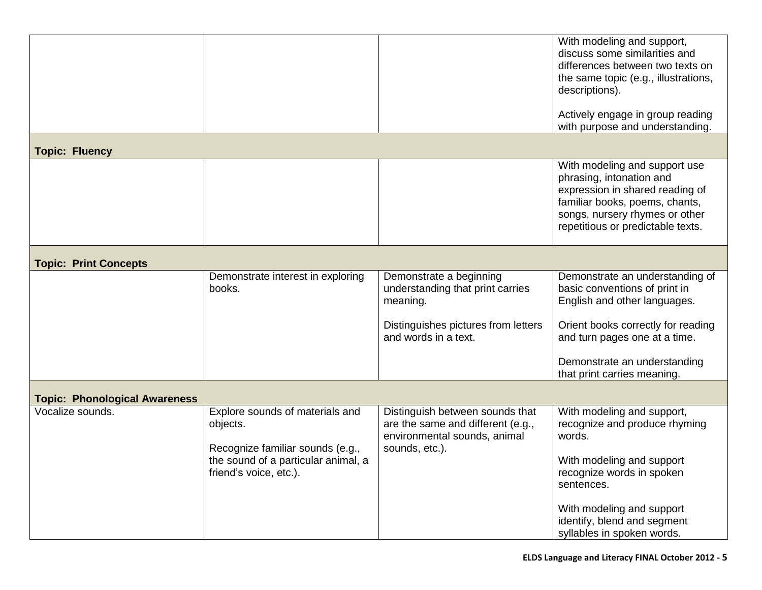|                                      |                                                                                                                                                  |                                                                                                                        | With modeling and support,<br>discuss some similarities and<br>differences between two texts on<br>the same topic (e.g., illustrations,<br>descriptions).                                             |  |
|--------------------------------------|--------------------------------------------------------------------------------------------------------------------------------------------------|------------------------------------------------------------------------------------------------------------------------|-------------------------------------------------------------------------------------------------------------------------------------------------------------------------------------------------------|--|
|                                      |                                                                                                                                                  |                                                                                                                        | Actively engage in group reading<br>with purpose and understanding.                                                                                                                                   |  |
| <b>Topic: Fluency</b>                |                                                                                                                                                  |                                                                                                                        |                                                                                                                                                                                                       |  |
|                                      |                                                                                                                                                  |                                                                                                                        | With modeling and support use<br>phrasing, intonation and<br>expression in shared reading of<br>familiar books, poems, chants,<br>songs, nursery rhymes or other<br>repetitious or predictable texts. |  |
| <b>Topic: Print Concepts</b>         |                                                                                                                                                  |                                                                                                                        |                                                                                                                                                                                                       |  |
|                                      | Demonstrate interest in exploring<br>books.                                                                                                      | Demonstrate a beginning<br>understanding that print carries<br>meaning.                                                | Demonstrate an understanding of<br>basic conventions of print in<br>English and other languages.                                                                                                      |  |
|                                      |                                                                                                                                                  | Distinguishes pictures from letters<br>and words in a text.                                                            | Orient books correctly for reading<br>and turn pages one at a time.                                                                                                                                   |  |
|                                      |                                                                                                                                                  |                                                                                                                        | Demonstrate an understanding<br>that print carries meaning.                                                                                                                                           |  |
| <b>Topic: Phonological Awareness</b> |                                                                                                                                                  |                                                                                                                        |                                                                                                                                                                                                       |  |
| Vocalize sounds.                     | Explore sounds of materials and<br>objects.<br>Recognize familiar sounds (e.g.,<br>the sound of a particular animal, a<br>friend's voice, etc.). | Distinguish between sounds that<br>are the same and different (e.g.,<br>environmental sounds, animal<br>sounds, etc.). | With modeling and support,<br>recognize and produce rhyming<br>words.<br>With modeling and support<br>recognize words in spoken<br>sentences.                                                         |  |
|                                      |                                                                                                                                                  |                                                                                                                        | With modeling and support<br>identify, blend and segment<br>syllables in spoken words.                                                                                                                |  |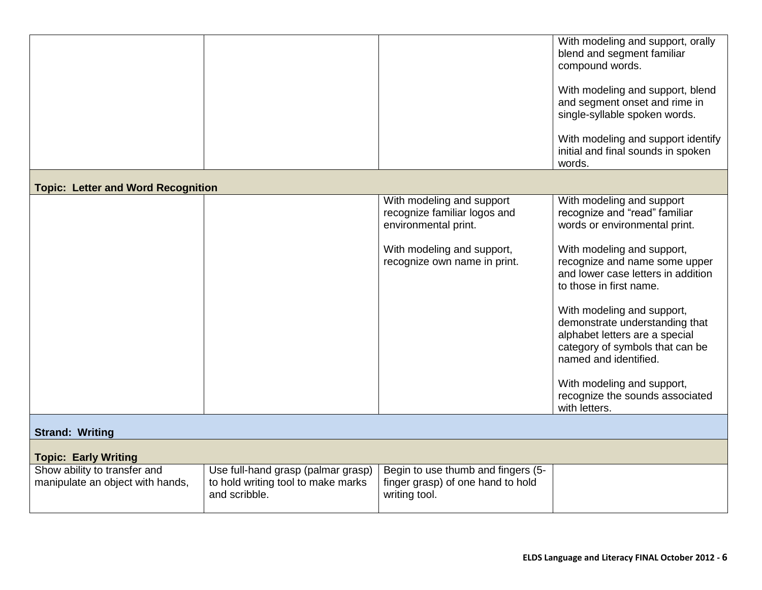|                                           |                                                     |                                                                                   | With modeling and support, orally<br>blend and segment familiar<br>compound words.<br>With modeling and support, blend<br>and segment onset and rime in<br>single-syllable spoken words.<br>With modeling and support identify<br>initial and final sounds in spoken |
|-------------------------------------------|-----------------------------------------------------|-----------------------------------------------------------------------------------|----------------------------------------------------------------------------------------------------------------------------------------------------------------------------------------------------------------------------------------------------------------------|
|                                           |                                                     |                                                                                   | words.                                                                                                                                                                                                                                                               |
| <b>Topic: Letter and Word Recognition</b> |                                                     |                                                                                   |                                                                                                                                                                                                                                                                      |
|                                           |                                                     | With modeling and support<br>recognize familiar logos and<br>environmental print. | With modeling and support<br>recognize and "read" familiar<br>words or environmental print.                                                                                                                                                                          |
|                                           |                                                     | With modeling and support,<br>recognize own name in print.                        | With modeling and support,<br>recognize and name some upper<br>and lower case letters in addition<br>to those in first name.                                                                                                                                         |
|                                           |                                                     |                                                                                   | With modeling and support,<br>demonstrate understanding that<br>alphabet letters are a special<br>category of symbols that can be<br>named and identified.                                                                                                           |
|                                           |                                                     |                                                                                   | With modeling and support,<br>recognize the sounds associated<br>with letters.                                                                                                                                                                                       |
| <b>Strand: Writing</b>                    |                                                     |                                                                                   |                                                                                                                                                                                                                                                                      |
| <b>Topic: Early Writing</b>               |                                                     |                                                                                   |                                                                                                                                                                                                                                                                      |
| Show ability to transfer and              | Use full-hand grasp (palmar grasp)                  | Begin to use thumb and fingers (5-                                                |                                                                                                                                                                                                                                                                      |
| manipulate an object with hands,          | to hold writing tool to make marks<br>and scribble. | finger grasp) of one hand to hold<br>writing tool.                                |                                                                                                                                                                                                                                                                      |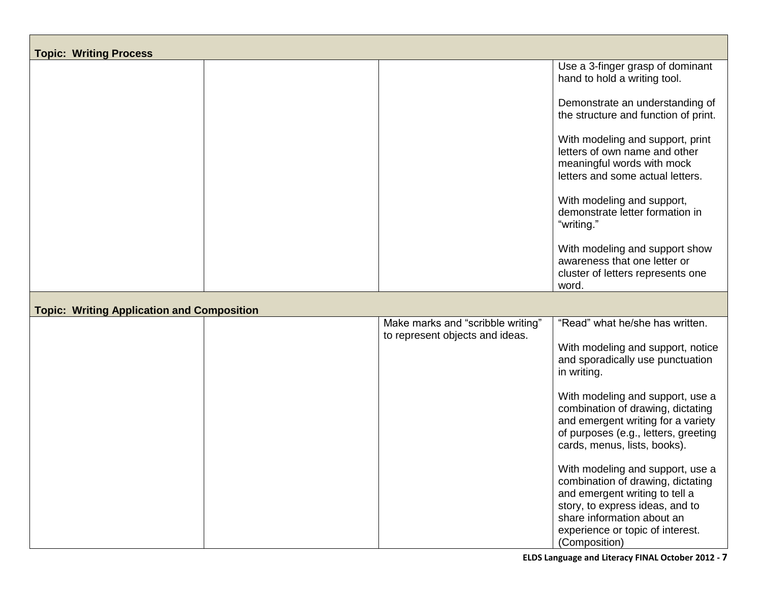| <b>Topic: Writing Process</b>                     |  |                                                                      |                                                                                                                                                                          |
|---------------------------------------------------|--|----------------------------------------------------------------------|--------------------------------------------------------------------------------------------------------------------------------------------------------------------------|
|                                                   |  |                                                                      | Use a 3-finger grasp of dominant<br>hand to hold a writing tool.                                                                                                         |
|                                                   |  |                                                                      | Demonstrate an understanding of<br>the structure and function of print.                                                                                                  |
|                                                   |  |                                                                      | With modeling and support, print<br>letters of own name and other<br>meaningful words with mock<br>letters and some actual letters.                                      |
|                                                   |  |                                                                      | With modeling and support,<br>demonstrate letter formation in<br>"writing."                                                                                              |
|                                                   |  |                                                                      | With modeling and support show<br>awareness that one letter or<br>cluster of letters represents one<br>word.                                                             |
| <b>Topic: Writing Application and Composition</b> |  |                                                                      |                                                                                                                                                                          |
|                                                   |  | Make marks and "scribble writing"<br>to represent objects and ideas. | "Read" what he/she has written.<br>With modeling and support, notice<br>and sporadically use punctuation<br>in writing.<br>With modeling and support, use a              |
|                                                   |  |                                                                      | combination of drawing, dictating<br>and emergent writing for a variety<br>of purposes (e.g., letters, greeting<br>cards, menus, lists, books).                          |
|                                                   |  |                                                                      | With modeling and support, use a<br>combination of drawing, dictating<br>and emergent writing to tell a<br>story, to express ideas, and to<br>share information about an |
|                                                   |  |                                                                      | experience or topic of interest.<br>(Composition)                                                                                                                        |